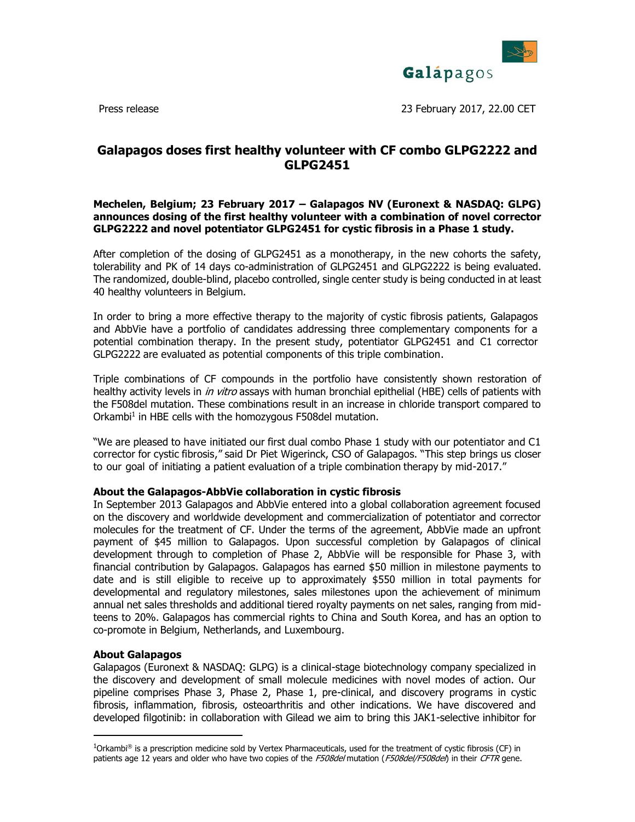

Press release 23 February 2017, 22.00 CET

# **Galapagos doses first healthy volunteer with CF combo GLPG2222 and GLPG2451**

# **Mechelen, Belgium; 23 February 2017 – Galapagos NV (Euronext & NASDAQ: GLPG) announces dosing of the first healthy volunteer with a combination of novel corrector GLPG2222 and novel potentiator GLPG2451 for cystic fibrosis in a Phase 1 study.**

After completion of the dosing of GLPG2451 as a monotherapy, in the new cohorts the safety, tolerability and PK of 14 days co-administration of GLPG2451 and GLPG2222 is being evaluated. The randomized, double-blind, placebo controlled, single center study is being conducted in at least 40 healthy volunteers in Belgium.

In order to bring a more effective therapy to the majority of cystic fibrosis patients, Galapagos and AbbVie have a portfolio of candidates addressing three complementary components for a potential combination therapy. In the present study, potentiator GLPG2451 and C1 corrector GLPG2222 are evaluated as potential components of this triple combination.

Triple combinations of CF compounds in the portfolio have consistently shown restoration of healthy activity levels in *in vitro* assays with human bronchial epithelial (HBE) cells of patients with the F508del mutation. These combinations result in an increase in chloride transport compared to Orkambi<sup>1</sup> in HBE cells with the homozygous F508del mutation.

"We are pleased to have initiated our first dual combo Phase 1 study with our potentiator and C1 corrector for cystic fibrosis," said Dr Piet Wigerinck, CSO of Galapagos. "This step brings us closer to our goal of initiating a patient evaluation of a triple combination therapy by mid-2017."

## **About the Galapagos-AbbVie collaboration in cystic fibrosis**

In September 2013 Galapagos and AbbVie entered into a global collaboration agreement focused on the discovery and worldwide development and commercialization of potentiator and corrector molecules for the treatment of CF. Under the terms of the agreement, AbbVie made an upfront payment of \$45 million to Galapagos. Upon successful completion by Galapagos of clinical development through to completion of Phase 2, AbbVie will be responsible for Phase 3, with financial contribution by Galapagos. Galapagos has earned \$50 million in milestone payments to date and is still eligible to receive up to approximately \$550 million in total payments for developmental and regulatory milestones, sales milestones upon the achievement of minimum annual net sales thresholds and additional tiered royalty payments on net sales, ranging from midteens to 20%. Galapagos has commercial rights to China and South Korea, and has an option to co-promote in Belgium, Netherlands, and Luxembourg.

## **About Galapagos**

 $\overline{a}$ 

[Galapagos](http://www.glpg.com/) (Euronext & NASDAQ: GLPG) is a clinical-stage biotechnology company specialized in the discovery and development of small molecule medicines with novel modes of action. Our pipeline comprises Phase 3, Phase 2, Phase 1, pre-clinical, and discovery programs in cystic fibrosis, inflammation, fibrosis, osteoarthritis and other indications. We have discovered and developed filgotinib: in collaboration with Gilead we aim to bring this JAK1-selective inhibitor for

 $1$ Orkambi® is a prescription medicine sold by Vertex Pharmaceuticals, used for the treatment of cystic fibrosis (CF) in patients age 12 years and older who have two copies of the F508del mutation (F508del/F508del) in their CFTR gene.